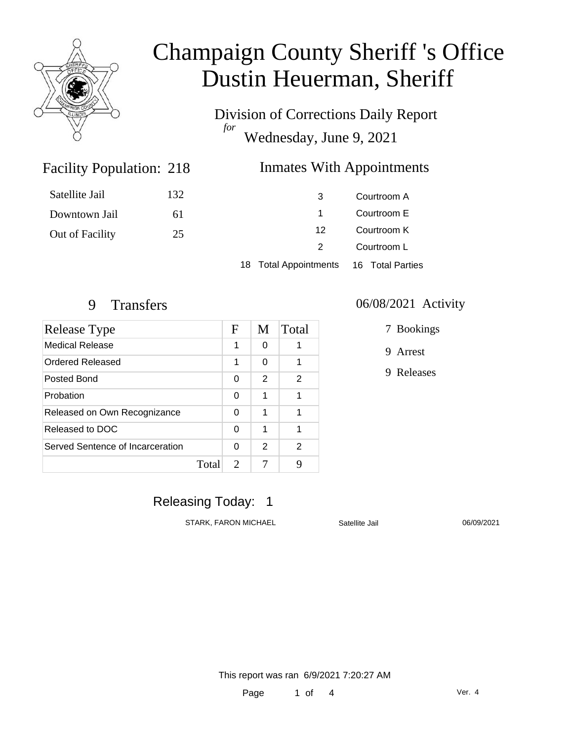

Division of Corrections Daily Report *for* Wednesday, June 9, 2021

#### Facility Population: 218 **Inmates With Appointments**

| Satellite Jail  | 132 | 3                     | Courtroom A      |
|-----------------|-----|-----------------------|------------------|
| Downtown Jail   | 61  |                       | Courtroom E      |
| Out of Facility | 25  | 12                    | Courtroom K      |
|                 |     |                       | Courtroom L      |
|                 |     | 18 Total Appointments | 16 Total Parties |

| Release Type                     |       | F                           | M | Total |
|----------------------------------|-------|-----------------------------|---|-------|
| Medical Release                  |       | 1                           | 0 |       |
| Ordered Released                 |       | 1                           | 0 | 1     |
| Posted Bond                      |       | 0                           | 2 | 2     |
| Probation                        |       | 0                           | 1 | 1     |
| Released on Own Recognizance     |       | 0                           | 1 | 1     |
| Released to DOC                  |       | 0                           | 1 | 1     |
| Served Sentence of Incarceration |       | 0                           | 2 | 2     |
|                                  | Total | $\mathcal{D}_{\mathcal{L}}$ |   | 9     |

#### 9 Transfers 06/08/2021 Activity

7 Bookings

9 Arrest

9 Releases

### Releasing Today: 1

STARK, FARON MICHAEL Satellite Jail 06/09/2021

This report was ran 6/9/2021 7:20:27 AM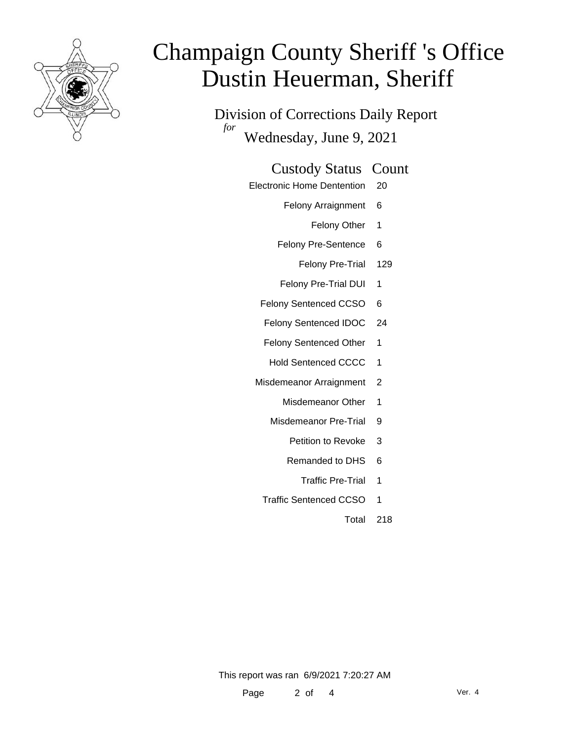

Division of Corrections Daily Report *for* Wednesday, June 9, 2021

#### Custody Status Count

- Electronic Home Dentention 20
	- Felony Arraignment 6
		- Felony Other 1
	- Felony Pre-Sentence 6
		- Felony Pre-Trial 129
	- Felony Pre-Trial DUI 1
	- Felony Sentenced CCSO 6
	- Felony Sentenced IDOC 24
	- Felony Sentenced Other 1
	- Hold Sentenced CCCC 1
	- Misdemeanor Arraignment 2
		- Misdemeanor Other 1
		- Misdemeanor Pre-Trial 9
			- Petition to Revoke 3
			- Remanded to DHS 6
				- Traffic Pre-Trial 1
		- Traffic Sentenced CCSO 1
			- Total 218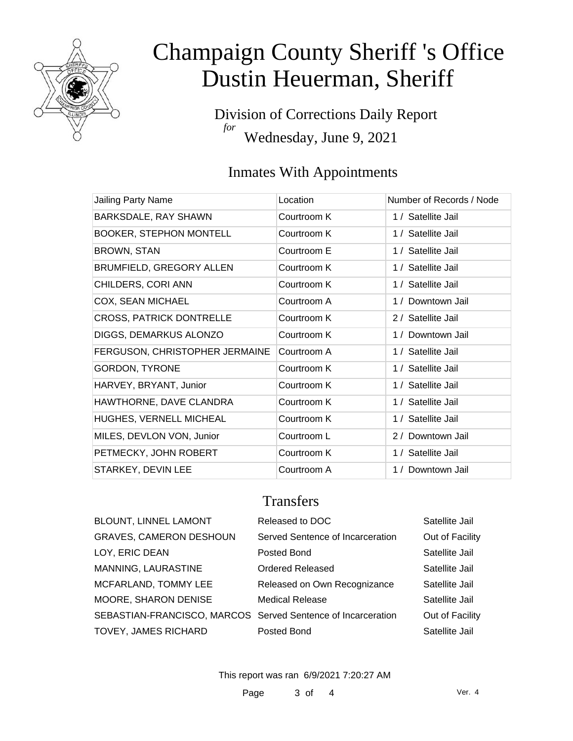

Division of Corrections Daily Report *for* Wednesday, June 9, 2021

### Inmates With Appointments

| Jailing Party Name              | Location    | Number of Records / Node |
|---------------------------------|-------------|--------------------------|
| BARKSDALE, RAY SHAWN            | Courtroom K | 1 / Satellite Jail       |
| <b>BOOKER, STEPHON MONTELL</b>  | Courtroom K | 1 / Satellite Jail       |
| <b>BROWN, STAN</b>              | Courtroom E | 1 / Satellite Jail       |
| BRUMFIELD, GREGORY ALLEN        | Courtroom K | 1 / Satellite Jail       |
| CHILDERS, CORI ANN              | Courtroom K | 1 / Satellite Jail       |
| COX, SEAN MICHAEL               | Courtroom A | 1 / Downtown Jail        |
| <b>CROSS, PATRICK DONTRELLE</b> | Courtroom K | 2 / Satellite Jail       |
| DIGGS, DEMARKUS ALONZO          | Courtroom K | 1 / Downtown Jail        |
| FERGUSON, CHRISTOPHER JERMAINE  | Courtroom A | 1 / Satellite Jail       |
| <b>GORDON, TYRONE</b>           | Courtroom K | 1 / Satellite Jail       |
| HARVEY, BRYANT, Junior          | Courtroom K | 1 / Satellite Jail       |
| HAWTHORNE, DAVE CLANDRA         | Courtroom K | 1 / Satellite Jail       |
| HUGHES, VERNELL MICHEAL         | Courtroom K | 1 / Satellite Jail       |
| MILES, DEVLON VON, Junior       | Courtroom L | 2 / Downtown Jail        |
| PETMECKY, JOHN ROBERT           | Courtroom K | 1 / Satellite Jail       |
| STARKEY, DEVIN LEE              | Courtroom A | 1 / Downtown Jail        |

#### **Transfers**

| <b>BLOUNT, LINNEL LAMONT</b>                                 | Released to DOC                  | Satellite Jail  |
|--------------------------------------------------------------|----------------------------------|-----------------|
| <b>GRAVES, CAMERON DESHOUN</b>                               | Served Sentence of Incarceration | Out of Facility |
| LOY, ERIC DEAN                                               | Posted Bond                      | Satellite Jail  |
| MANNING, LAURASTINE                                          | <b>Ordered Released</b>          | Satellite Jail  |
| MCFARLAND, TOMMY LEE                                         | Released on Own Recognizance     | Satellite Jail  |
| MOORE, SHARON DENISE                                         | <b>Medical Release</b>           | Satellite Jail  |
| SEBASTIAN-FRANCISCO, MARCOS Served Sentence of Incarceration |                                  | Out of Facility |
| TOVEY, JAMES RICHARD                                         | Posted Bond                      | Satellite Jail  |
|                                                              |                                  |                 |